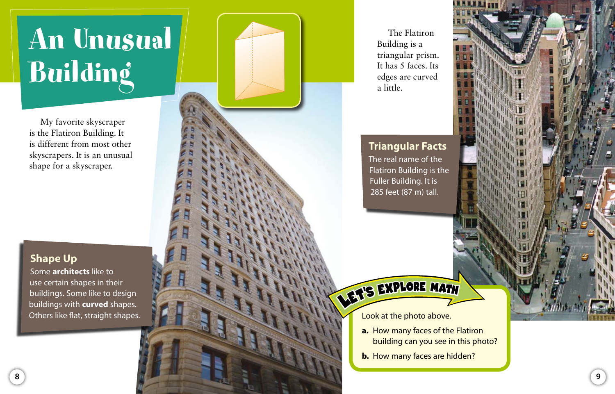# An Unusual Building

My favorite skyscraper is the Flatiron Building. It is different from most other skyscrapers. It is an unusual shape for a skyscraper.

#### **Shape Up**

Some **architects** like to use certain shapes in their buildings. Some like to design buildings with **curved** shapes. Others like flat, straight shapes.

The Flatiron Building is a triangular prism. It has 5 faces. Its edges are curved a little.

#### **Triangular Facts**

The real name of the Flatiron Building is the Fuller Building. It is 285 feet (87 m) tall.

### **VET'S EXPLORE MATH**

Look at the photo above.

- **a.** How many faces of the Flatiron building can you see in this photo?
- **b.** How many faces are hidden?